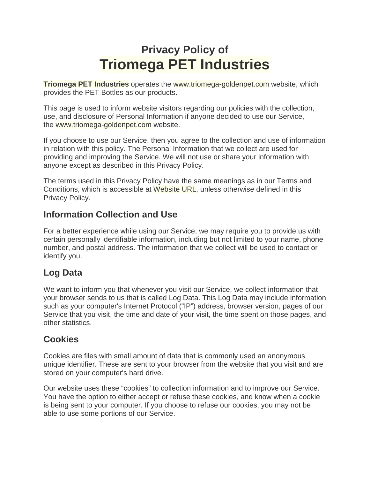# **Privacy Policy of Triomega PET Industries**

**Triomega PET Industries** operates the www.triomega-goldenpet.com website, which provides the PET Bottles as our products.

This page is used to inform website visitors regarding our policies with the collection, use, and disclosure of Personal Information if anyone decided to use our Service, the www.triomega-goldenpet.com website.

If you choose to use our Service, then you agree to the collection and use of information in relation with this policy. The Personal Information that we collect are used for providing and improving the Service. We will not use or share your information with anyone except as described in this Privacy Policy.

The terms used in this Privacy Policy have the same meanings as in our Terms and Conditions, which is accessible at Website URL, unless otherwise defined in this Privacy Policy.

#### **Information Collection and Use**

For a better experience while using our Service, we may require you to provide us with certain personally identifiable information, including but not limited to your name, phone number, and postal address. The information that we collect will be used to contact or identify you.

# **Log Data**

We want to inform you that whenever you visit our Service, we collect information that your browser sends to us that is called Log Data. This Log Data may include information such as your computer's Internet Protocol ("IP") address, browser version, pages of our Service that you visit, the time and date of your visit, the time spent on those pages, and other statistics.

# **Cookies**

Cookies are files with small amount of data that is commonly used an anonymous unique identifier. These are sent to your browser from the website that you visit and are stored on your computer's hard drive.

Our website uses these "cookies" to collection information and to improve our Service. You have the option to either accept or refuse these cookies, and know when a cookie is being sent to your computer. If you choose to refuse our cookies, you may not be able to use some portions of our Service.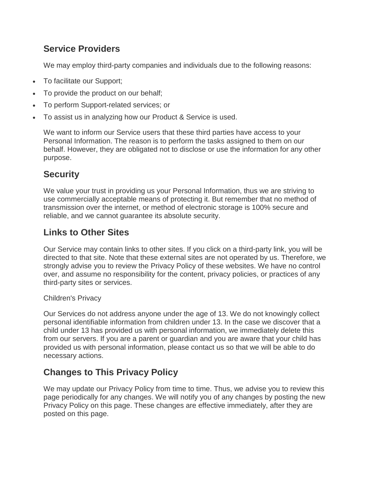#### **Service Providers**

We may employ third-party companies and individuals due to the following reasons:

- To facilitate our Support;
- To provide the product on our behalf;
- To perform Support-related services; or
- To assist us in analyzing how our Product & Service is used.

We want to inform our Service users that these third parties have access to your Personal Information. The reason is to perform the tasks assigned to them on our behalf. However, they are obligated not to disclose or use the information for any other purpose.

### **Security**

We value your trust in providing us your Personal Information, thus we are striving to use commercially acceptable means of protecting it. But remember that no method of transmission over the internet, or method of electronic storage is 100% secure and reliable, and we cannot guarantee its absolute security.

# **Links to Other Sites**

Our Service may contain links to other sites. If you click on a third-party link, you will be directed to that site. Note that these external sites are not operated by us. Therefore, we strongly advise you to review the Privacy Policy of these websites. We have no control over, and assume no responsibility for the content, privacy policies, or practices of any third-party sites or services.

#### Children's Privacy

Our Services do not address anyone under the age of 13. We do not knowingly collect personal identifiable information from children under 13. In the case we discover that a child under 13 has provided us with personal information, we immediately delete this from our servers. If you are a parent or guardian and you are aware that your child has provided us with personal information, please contact us so that we will be able to do necessary actions.

# **Changes to This Privacy Policy**

We may update our Privacy Policy from time to time. Thus, we advise you to review this page periodically for any changes. We will notify you of any changes by posting the new Privacy Policy on this page. These changes are effective immediately, after they are posted on this page.